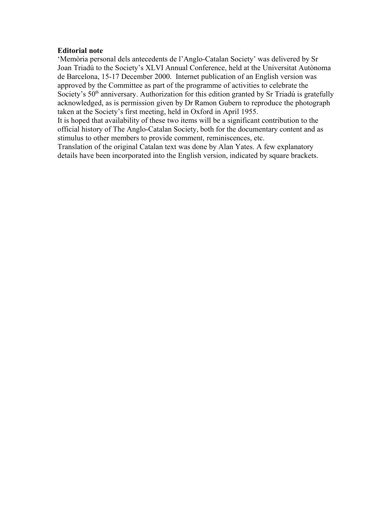## **Editorial note**

'Memòria personal dels antecedents de l'Anglo-Catalan Society' was delivered by Sr Joan Triadú to the Society's XLVI Annual Conference, held at the Universitat Autònoma de Barcelona, 15-17 December 2000. Internet publication of an English version was approved by the Committee as part of the programme of activities to celebrate the Society's 50<sup>th</sup> anniversary. Authorization for this edition granted by Sr Triadú is gratefully acknowledged, as is permission given by Dr Ramon Gubern to reproduce the photograph taken at the Society's first meeting, held in Oxford in April 1955.

It is hoped that availability of these two items will be a significant contribution to the official history of The Anglo-Catalan Society, both for the documentary content and as stimulus to other members to provide comment, reminiscences, etc.

Translation of the original Catalan text was done by Alan Yates. A few explanatory details have been incorporated into the English version, indicated by square brackets.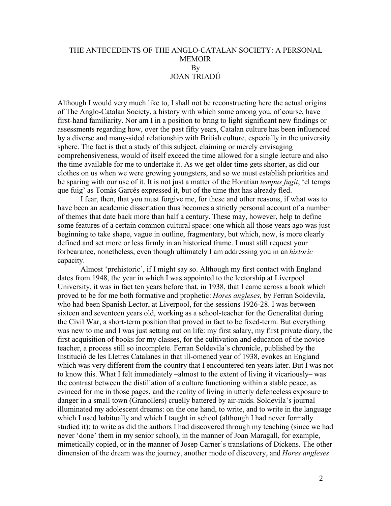## THE ANTECEDENTS OF THE ANGLO-CATALAN SOCIETY: A PERSONAL **MEMOIR** By JOAN TRIADÚ

Although I would very much like to, I shall not be reconstructing here the actual origins of The Anglo-Catalan Society, a history with which some among you, of course, have first-hand familiarity. Nor am I in a position to bring to light significant new findings or assessments regarding how, over the past fifty years, Catalan culture has been influenced by a diverse and many-sided relationship with British culture, especially in the university sphere. The fact is that a study of this subject, claiming or merely envisaging comprehensiveness, would of itself exceed the time allowed for a single lecture and also the time available for me to undertake it. As we get older time gets shorter, as did our clothes on us when we were growing youngsters, and so we must establish priorities and be sparing with our use of it. It is not just a matter of the Horatian *tempus fugit*, 'el temps que fuig' as Tomàs Garcés expressed it, but of the time that has already fled.

I fear, then, that you must forgive me, for these and other reasons, if what was to have been an academic dissertation thus becomes a strictly personal account of a number of themes that date back more than half a century. These may, however, help to define some features of a certain common cultural space: one which all those years ago was just beginning to take shape, vague in outline, fragmentary, but which, now, is more clearly defined and set more or less firmly in an historical frame. I must still request your forbearance, nonetheless, even though ultimately I am addressing you in an *historic* capacity.

Almost 'prehistoric', if I might say so. Although my first contact with England dates from 1948, the year in which I was appointed to the lectorship at Liverpool University, it was in fact ten years before that, in 1938, that I came across a book which proved to be for me both formative and prophetic: *Hores angleses*, by Ferran Soldevila, who had been Spanish Lector, at Liverpool, for the sessions 1926-28. I was between sixteen and seventeen years old, working as a school-teacher for the Generalitat during the Civil War, a short-term position that proved in fact to be fixed-term. But everything was new to me and I was just setting out on life: my first salary, my first private diary, the first acquisition of books for my classes, for the cultivation and education of the novice teacher, a process still so incomplete. Ferran Soldevila's chronicle, published by the Institució de les Lletres Catalanes in that ill-omened year of 1938, evokes an England which was very different from the country that I encountered ten years later. But I was not to know this. What I felt immediately –almost to the extent of living it vicariously– was the contrast between the distillation of a culture functioning within a stable peace, as evinced for me in those pages, and the reality of living in utterly defenceless exposure to danger in a small town (Granollers) cruelly battered by air-raids. Soldevila's journal illuminated my adolescent dreams: on the one hand, to write, and to write in the language which I used habitually and which I taught in school (although I had never formally studied it); to write as did the authors I had discovered through my teaching (since we had never 'done' them in my senior school), in the manner of Joan Maragall, for example, mimetically copied, or in the manner of Josep Carner's translations of Dickens. The other dimension of the dream was the journey, another mode of discovery, and *Hores angleses*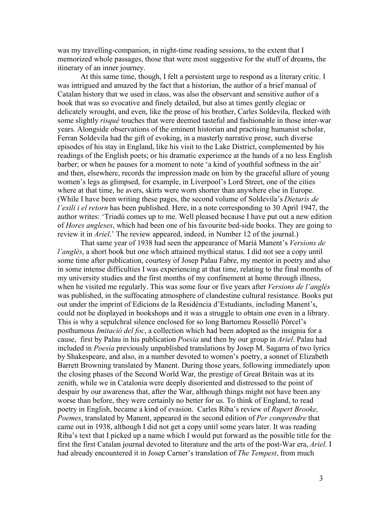was my travelling-companion, in night-time reading sessions, to the extent that I memorized whole passages, those that were most suggestive for the stuff of dreams, the itinerary of an inner journey.

At this same time, though, I felt a persistent urge to respond as a literary critic. I was intrigued and amazed by the fact that a historian, the author of a brief manual of Catalan history that we used in class, was also the observant and sensitive author of a book that was so evocative and finely detailed, but also at times gently elegiac or delicately wrought, and even, like the prose of his brother, Carles Soldevila, flecked with some slightly *risqué* touches that were deemed tasteful and fashionable in those inter-war years. Alongside observations of the eminent historian and practising humanist scholar, Ferran Soldevila had the gift of evoking, in a masterly narrative prose, such diverse episodes of his stay in England, like his visit to the Lake District, complemented by his readings of the English poets; or his dramatic experience at the hands of a no less English barber; or when he pauses for a moment to note 'a kind of youthful softness in the air' and then, elsewhere, records the impression made on him by the graceful allure of young women's legs as glimpsed, for example, in Liverpool's Lord Street, one of the cities where at that time, he avers, skirts were worn shorter than anywhere else in Europe. (While I have been writing these pages, the second volume of Soldevila's *Dietaris de l'exili i el retorn* has been published. Here, in a note corresponding to 30 April 1947, the author writes: 'Triadú comes up to me. Well pleased because I have put out a new edition of *Hores angleses*, which had been one of his favourite bed-side books. They are going to review it in *Ariel*.' The review appeared, indeed, in Number 12 of the journal.)

That same year of 1938 had seen the appearance of Marià Manent's *Versions de l'anglès*, a short book but one which attained mythical status. I did not see a copy until some time after publication, courtesy of Josep Palau Fabre, my mentor in poetry and also in some intense difficulties I was experiencing at that time, relating to the final months of my university studies and the first months of my confinement at home through illness, when he visited me regularly. This was some four or five years after *Versions de l'anglès* was published, in the suffocating atmosphere of clandestine cultural resistance. Books put out under the imprint of Edicions de la Residència d'Estudiants, including Manent's, could not be displayed in bookshops and it was a struggle to obtain one even in a library. This is why a sepulchral silence enclosed for so long Bartomeu Rosselló Pòrcel's posthumous *Imitació del foc*, a collection which had been adopted as the insignia for a cause, first by Palau in his publication *Poesia* and then by our group in *Ariel*. Palau had included in *Poesia* previously unpublished translations by Josep M. Sagarra of two lyrics by Shakespeare, and also, in a number devoted to women's poetry, a sonnet of Elizabeth Barrett Browning translated by Manent. During those years, following immediately upon the closing phases of the Second World War, the prestige of Great Britain was at its zenith, while we in Catalonia were deeply disoriented and distressed to the point of despair by our awareness that, after the War, although things might not have been any worse than before, they were certainly no better for us. To think of England, to read poetry in English, became a kind of evasion. Carles Riba's review of *Rupert Brooke, Poemes*, translated by Manent, appeared in the second edition of *Per comprendre* that came out in 1938, although I did not get a copy until some years later. It was reading Riba's text that I picked up a name which I would put forward as the possible title for the first the first Catalan journal devoted to literature and the arts of the post-War era, *Ariel*. I had already encountered it in Josep Carner's translation of *The Tempest*, from much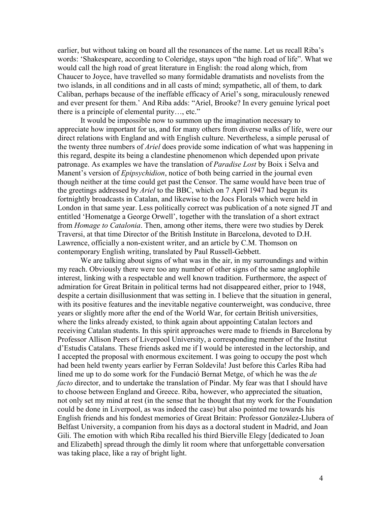earlier, but without taking on board all the resonances of the name. Let us recall Riba's words: 'Shakespeare, according to Coleridge, stays upon "the high road of life". What we would call the high road of great literature in English: the road along which, from Chaucer to Joyce, have travelled so many formidable dramatists and novelists from the two islands, in all conditions and in all casts of mind; sympathetic, all of them, to dark Caliban, perhaps because of the ineffable efficacy of Ariel's song, miraculously renewed and ever present for them.' And Riba adds: "Ariel, Brooke? In every genuine lyrical poet there is a principle of elemental purity…, etc."

It would be impossible now to summon up the imagination necessary to appreciate how important for us, and for many others from diverse walks of life, were our direct relations with England and with English culture. Nevertheless, a simple perusal of the twenty three numbers of *Ariel* does provide some indication of what was happening in this regard, despite its being a clandestine phenomenon which depended upon private patronage. As examples we have the translation of *Paradise Lost* by Boix i Selva and Manent's version of *Epipsychidion*, notice of both being carried in the journal even though neither at the time could get past the Censor. The same would have been true of the greetings addressed by *Ariel* to the BBC, which on 7 April 1947 had begun its fortnightly broadcasts in Catalan, and likewise to the Jocs Florals which were held in London in that same year. Less politically correct was publication of a note signed JT and entitled 'Homenatge a George Orwell', together with the translation of a short extract from *Homage to Catalonia*. Then, among other items, there were two studies by Derek Traversi, at that time Director of the British Institute in Barcelona, devoted to D.H. Lawrence, officially a non-existent writer, and an article by C.M. Thomson on contemporary English writing, translated by Paul Russell-Gebbett.

We are talking about signs of what was in the air, in my surroundings and within my reach. Obviously there were too any number of other signs of the same anglophile interest, linking with a respectable and well known tradition. Furthermore, the aspect of admiration for Great Britain in political terms had not disappeared either, prior to 1948, despite a certain disillusionment that was setting in. I believe that the situation in general, with its positive features and the inevitable negative counterweight, was conducive, three years or slightly more after the end of the World War, for certain British universities, where the links already existed, to think again about appointing Catalan lectors and receiving Catalan students. In this spirit approaches were made to friends in Barcelona by Professor Allison Peers of Liverpool University, a corresponding member of the Institut d'Estudis Catalans. These friends asked me if I would be interested in the lectorship, and I accepted the proposal with enormous excitement. I was going to occupy the post whch had been held twenty years earlier by Ferran Soldevila! Just before this Carles Riba had lined me up to do some work for the Fundació Bernat Metge, of which he was the *de facto* director, and to undertake the translation of Pindar. My fear was that I should have to choose between England and Greece. Riba, however, who appreciated the situation, not only set my mind at rest (in the sense that he thought that my work for the Foundation could be done in Liverpool, as was indeed the case) but also pointed me towards his English friends and his fondest memories of Great Britain: Professor Gonzàlez-Llubera of Belfast University, a companion from his days as a doctoral student in Madrid, and Joan Gili. The emotion with which Riba recalled his third Bierville Elegy [dedicated to Joan and Elizabeth] spread through the dimly lit room where that unforgettable conversation was taking place, like a ray of bright light.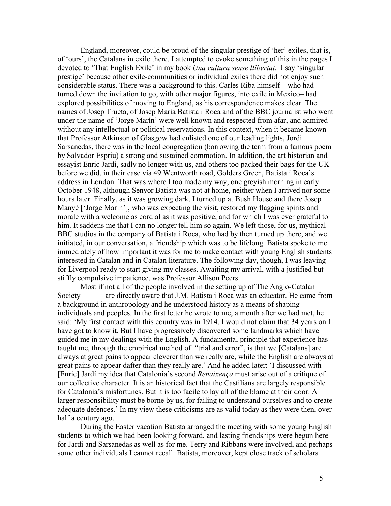England, moreover, could be proud of the singular prestige of 'her' exiles, that is, of 'ours', the Catalans in exile there. I attempted to evoke something of this in the pages I devoted to 'That English Exile' in my book *Una cultura sense llibertat*. I say 'singular prestige' because other exile-communities or individual exiles there did not enjoy such considerable status. There was a background to this. Carles Riba himself –who had turned down the invitation to go, with other major figures, into exile in Mexico– had explored possibilities of moving to England, as his correspondence makes clear. The names of Josep Trueta, of Josep Maria Batista i Roca and of the BBC journalist who went under the name of 'Jorge Marín' were well known and respected from afar, and admired without any intellectual or political reservations. In this context, when it became known that Professor Atkinson of Glasgow had enlisted one of our leading lights, Jordi Sarsanedas, there was in the local congregation (borrowing the term from a famous poem by Salvador Espriu) a strong and sustained commotion. In addition, the art historian and essayist Enric Jardí, sadly no longer with us, and others too packed their bags for the UK before we did, in their case via 49 Wentworth road, Golders Green, Batista i Roca's address in London. That was where I too made my way, one greyish morning in early October 1948, although Senyor Batista was not at home, neither when I arrived nor some hours later. Finally, as it was growing dark, I turned up at Bush House and there Josep Manyé ['Jorge Marín'], who was expecting the visit, restored my flagging spirits and morale with a welcome as cordial as it was positive, and for which I was ever grateful to him. It saddens me that I can no longer tell him so again. We left those, for us, mythical BBC studios in the company of Batista i Roca, who had by then turned up there, and we initiated, in our conversation, a friendship which was to be lifelong. Batista spoke to me immediately of how important it was for me to make contact with young English students interested in Catalan and in Catalan literature. The following day, though, I was leaving for Liverpool ready to start giving my classes. Awaiting my arrival, with a justified but stiffly compulsive impatience, was Professor Allison Peers.

Most if not all of the people involved in the setting up of The Anglo-Catalan Society are directly aware that J.M. Batista i Roca was an educator. He came from a background in anthropology and he understood history as a means of shaping individuals and peoples. In the first letter he wrote to me, a month after we had met, he said: 'My first contact with this country was in 1914. I would not claim that 34 years on I have got to know it. But I have progressively discovered some landmarks which have guided me in my dealings with the English. A fundamental principle that experience has taught me, through the empirical method of "trial and error", is that we [Catalans] are always at great pains to appear cleverer than we really are, while the English are always at great pains to appear dafter than they really are.' And he added later: 'I discussed with [Enric] Jardí my idea that Catalonia's second *Renaixença* must arise out of a critique of our collective character. It is an historical fact that the Castilians are largely responsible for Catalonia's misfortunes. But it is too facile to lay all of the blame at their door. A larger responsibility must be borne by us, for failing to understand ourselves and to create adequate defences.' In my view these criticisms are as valid today as they were then, over half a century ago.

During the Easter vacation Batista arranged the meeting with some young English students to which we had been looking forward, and lasting friendships were begun here for Jardí and Sarsanedas as well as for me. Terry and Ribbans were involved, and perhaps some other individuals I cannot recall. Batista, moreover, kept close track of scholars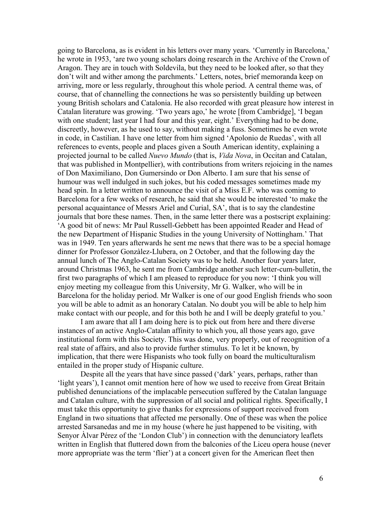going to Barcelona, as is evident in his letters over many years. 'Currently in Barcelona,' he wrote in 1953, 'are two young scholars doing research in the Archive of the Crown of Aragon. They are in touch with Soldevila, but they need to be looked after, so that they don't wilt and wither among the parchments.' Letters, notes, brief memoranda keep on arriving, more or less regularly, throughout this whole period. A central theme was, of course, that of channelling the connections he was so persistently building up between young British scholars and Catalonia. He also recorded with great pleasure how interest in Catalan literature was growing. 'Two years ago,' he wrote [from Cambridge], 'I began with one student; last year I had four and this year, eight.' Everything had to be done, discreetly, however, as he used to say, without making a fuss. Sometimes he even wrote in code, in Castilian. I have one letter from him signed 'Apolonio de Ruedas', with all references to events, people and places given a South American identity, explaining a projected journal to be called *Nuevo Mundo* (that is, *Vida Nova*, in Occitan and Catalan, that was published in Montpellier), with contributions from writers rejoicing in the names of Don Maximiliano, Don Gumersindo or Don Alberto. I am sure that his sense of humour was well indulged in such jokes, but his coded messages sometimes made my head spin. In a letter written to announce the visit of a Miss E.F. who was coming to Barcelona for a few weeks of research, he said that she would be interested 'to make the personal acquaintance of Messrs Ariel and Curial, SA', that is to say the clandestine journals that bore these names. Then, in the same letter there was a postscript explaining: 'A good bit of news: Mr Paul Russell-Gebbett has been appointed Reader and Head of the new Department of Hispanic Studies in the young University of Nottingham.' That was in 1949. Ten years afterwards he sent me news that there was to be a special homage dinner for Professor Gonzàlez-Llubera, on 2 October, and that the following day the annual lunch of The Anglo-Catalan Society was to be held. Another four years later, around Christmas 1963, he sent me from Cambridge another such letter-cum-bulletin, the first two paragraphs of which I am pleased to reproduce for you now: 'I think you will enjoy meeting my colleague from this University, Mr G. Walker, who will be in Barcelona for the holiday period. Mr Walker is one of our good English friends who soon you will be able to admit as an honorary Catalan. No doubt you will be able to help him make contact with our people, and for this both he and I will be deeply grateful to you.'

I am aware that all I am doing here is to pick out from here and there diverse instances of an active Anglo-Catalan affinity to which you, all those years ago, gave institutional form with this Society. This was done, very properly, out of recognition of a real state of affairs, and also to provide further stimulus. To let it be known, by implication, that there were Hispanists who took fully on board the multiculturalism entailed in the proper study of Hispanic culture.

Despite all the years that have since passed ('dark' years, perhaps, rather than 'light years'), I cannot omit mention here of how we used to receive from Great Britain published denunciations of the implacable persecution suffered by the Catalan language and Catalan culture, with the suppression of all social and political rights. Specifically, I must take this opportunity to give thanks for expressions of support received from England in two situations that affected me personally. One of these was when the police arrested Sarsanedas and me in my house (where he just happened to be visiting, with Senyor Àlvar Pérez of the 'London Club') in connection with the denunciatory leaflets written in English that fluttered down from the balconies of the Liceu opera house (never more appropriate was the term 'flier') at a concert given for the American fleet then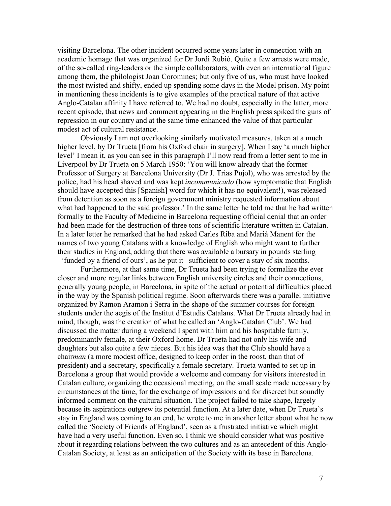visiting Barcelona. The other incident occurred some years later in connection with an academic homage that was organized for Dr Jordi Rubió. Quite a few arrests were made, of the so-called ring-leaders or the simple collaborators, with even an international figure among them, the philologist Joan Coromines; but only five of us, who must have looked the most twisted and shifty, ended up spending some days in the Model prison. My point in mentioning these incidents is to give examples of the practical nature of that active Anglo-Catalan affinity I have referred to. We had no doubt, especially in the latter, more recent episode, that news and comment appearing in the English press spiked the guns of repression in our country and at the same time enhanced the value of that particular modest act of cultural resistance.

Obviously I am not overlooking similarly motivated measures, taken at a much higher level, by Dr Trueta [from his Oxford chair in surgery]. When I say 'a much higher level' I mean it, as you can see in this paragraph I'll now read from a letter sent to me in Liverpool by Dr Trueta on 5 March 1950: 'You will know already that the former Professor of Surgery at Barcelona University (Dr J. Trias Pujol), who was arrested by the police, had his head shaved and was kept *incommunicado* (how symptomatic that English should have accepted this [Spanish] word for which it has no equivalent!), was released from detention as soon as a foreign government ministry requested information about what had happened to the said professor.' In the same letter he told me that he had written formally to the Faculty of Medicine in Barcelona requesting official denial that an order had been made for the destruction of three tons of scientific literature written in Catalan. In a later letter he remarked that he had asked Carles Riba and Marià Manent for the names of two young Catalans with a knowledge of English who might want to further their studies in England, adding that there was available a bursary in pounds sterling –'funded by a friend of ours', as he put it– sufficient to cover a stay of six months.

Furthermore, at that same time, Dr Trueta had been trying to formalize the ever closer and more regular links between English university circles and their connections, generally young people, in Barcelona, in spite of the actual or potential difficulties placed in the way by the Spanish political regime. Soon afterwards there was a parallel initiative organized by Ramon Aramon i Serra in the shape of the summer courses for foreign students under the aegis of the Institut d'Estudis Catalans. What Dr Trueta already had in mind, though, was the creation of what he called an 'Anglo-Catalan Club'. We had discussed the matter during a weekend I spent with him and his hospitable family, predominantly female, at their Oxford home. Dr Trueta had not only his wife and daughters but also quite a few nieces. But his idea was that the Club should have a chair*man* (a more modest office, designed to keep order in the roost, than that of president) and a secretary, specifically a female secretary. Trueta wanted to set up in Barcelona a group that would provide a welcome and company for visitors interested in Catalan culture, organizing the occasional meeting, on the small scale made necessary by circumstances at the time, for the exchange of impressions and for discreet but soundly informed comment on the cultural situation. The project failed to take shape, largely because its aspirations outgrew its potential function. At a later date, when Dr Trueta's stay in England was coming to an end, he wrote to me in another letter about what he now called the 'Society of Friends of England', seen as a frustrated initiative which might have had a very useful function. Even so, I think we should consider what was positive about it regarding relations between the two cultures and as an antecedent of this Anglo-Catalan Society, at least as an anticipation of the Society with its base in Barcelona.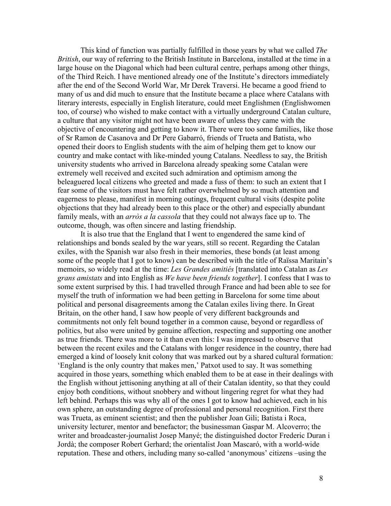This kind of function was partially fulfilled in those years by what we called *The British*, our way of referring to the British Institute in Barcelona, installed at the time in a large house on the Diagonal which had been cultural centre, perhaps among other things, of the Third Reich. I have mentioned already one of the Institute's directors immediately after the end of the Second World War, Mr Derek Traversi. He became a good friend to many of us and did much to ensure that the Institute became a place where Catalans with literary interests, especially in English literature, could meet Englishmen (Englishwomen too, of course) who wished to make contact with a virtually underground Catalan culture, a culture that any visitor might not have been aware of unless they came with the objective of encountering and getting to know it. There were too some families, like those of Sr Ramon de Casanova and Dr Pere Gabarró, friends of Trueta and Batista, who opened their doors to English students with the aim of helping them get to know our country and make contact with like-minded young Catalans. Needless to say, the British university students who arrived in Barcelona already speaking some Catalan were extremely well received and excited such admiration and optimism among the beleaguered local citizens who greeted and made a fuss of them: to such an extent that I fear some of the visitors must have felt rather overwhelmed by so much attention and eagerness to please, manifest in morning outings, frequent cultural visits (despite polite objections that they had already been to this place or the other) and especially abundant family meals, with an *arròs a la cassola* that they could not always face up to. The outcome, though, was often sincere and lasting friendship.

It is also true that the England that I went to engendered the same kind of relationships and bonds sealed by the war years, still so recent. Regarding the Catalan exiles, with the Spanish war also fresh in their memories, these bonds (at least among some of the people that I got to know) can be described with the title of Raïssa Maritain's memoirs, so widely read at the time: *Les Grandes amitiés* [translated into Catalan as *Les grans amistats* and into English as *We have been friends together*]. I confess that I was to some extent surprised by this. I had travelled through France and had been able to see for myself the truth of information we had been getting in Barcelona for some time about political and personal disagreements among the Catalan exiles living there. In Great Britain, on the other hand, I saw how people of very different backgrounds and commitments not only felt bound together in a common cause, beyond or regardless of politics, but also were united by genuine affection, respecting and supporting one another as true friends. There was more to it than even this: I was impressed to observe that between the recent exiles and the Catalans with longer residence in the country, there had emerged a kind of loosely knit colony that was marked out by a shared cultural formation: 'England is the only country that makes men,' Patxot used to say. It was something acquired in those years, something which enabled them to be at ease in their dealings with the English without jettisoning anything at all of their Catalan identity, so that they could enjoy both conditions, without snobbery and without lingering regret for what they had left behind. Perhaps this was why all of the ones I got to know had achieved, each in his own sphere, an outstanding degree of professional and personal recognition. First there was Trueta, as eminent scientist; and then the publisher Joan Gili; Batista i Roca, university lecturer, mentor and benefactor; the businessman Gaspar M. Alcoverro; the writer and broadcaster-journalist Josep Manyé; the distinguished doctor Frederic Duran i Jordà; the composer Robert Gerhard; the orientalist Joan Mascaró, with a world-wide reputation. These and others, including many so-called 'anonymous' citizens –using the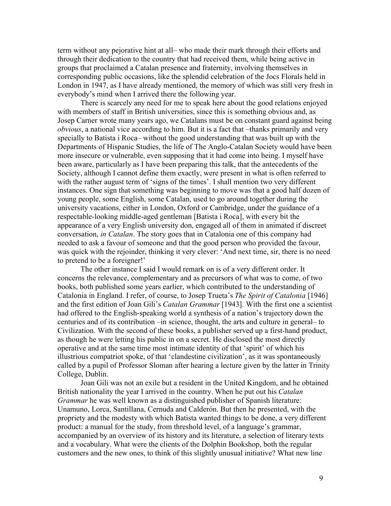term without any pejorative hint at all– who made their mark through their efforts and through their dedication to the country that had received them, while being active in groups that proclaimed a Catalan presence and fraternity, involving themselves in corresponding public occasions, like the splendid celebration of the Jocs Florals held in London in 1947, as I have already mentioned, the memory of which was still very fresh in everybody's mind when I arrived there the following year.

There is scarcely any need for me to speak here about the good relations enjoyed with members of staff in British universities, since this is something obvious and, as Josep Carner wrote many years ago, we Catalans must be on constant guard against being *obvious*, a national vice according to him. But it is a fact that –thanks primarily and very specially to Batista i Roca– without the good understanding that was built up with the Departments of Hispanic Studies, the life of The Anglo-Catalan Society would have been more insecure or vulnerable, even supposing that it had come into being. I myself have been aware, particularly as I have been preparing this talk, that the antecedents of the Society, although I cannot define them exactly, were present in what is often referred to with the rather august term of 'signs of the times'. I shall mention two very different instances. One sign that something was beginning to move was that a good half dozen of young people, some English, some Catalan, used to go around together during the university vacations, either in London, Oxford or Cambridge, under the guidance of a respectable-looking middle-aged gentleman [Batista i Roca], with every bit the appearance of a very English university don, engaged all of them in animated if discreet conversation, *in Catalan*. The story goes that in Catalonia one of this company had needed to ask a favour of someone and that the good person who provided the favour, was quick with the rejoinder, thinking it very clever: 'And next time, sir, there is no need to pretend to be a foreigner!'

The other instance I said I would remark on is of a very different order. It concerns the relevance, complementary and as precursors of what was to come, of two books, both published some years earlier, which contributed to the understanding of Catalonia in England. I refer, of course, to Josep Trueta's *The Spirit of Catalonia* [1946] and the first edition of Joan Gili's *Catalan Grammar* [1943]. With the first one a scientist had offered to the English-speaking world a synthesis of a nation's trajectory down the centuries and of its contribution –in science, thought, the arts and culture in general– to Civilization. With the second of these books, a publisher served up a first-hand product, as though he were letting his public in on a secret. He disclosed the most directly operative and at the same time most intimate identity of that 'spirit' of which his illustrious compatriot spoke, of that 'clandestine civilization', as it was spontaneously called by a pupil of Professor Sloman after hearing a lecture given by the latter in Trinity College, Dublin.

Joan Gili was not an exile but a resident in the United Kingdom, and he obtained British nationality the year I arrived in the country. When he put out his *Catalan Grammar* he was well known as a distinguished publisher of Spanish literature: Unamuno, Lorca, Santillana, Cernuda and Calderón. But then he presented, with the propriety and the modesty with which Batista wanted things to be done, a very different product: a manual for the study, from threshold level, of a language's grammar, accompanied by an overview of its history and its literature, a selection of literary texts and a vocabulary. What were the clients of the Dolphin Bookshop, both the regular customers and the new ones, to think of this slightly unusual initiative? What new line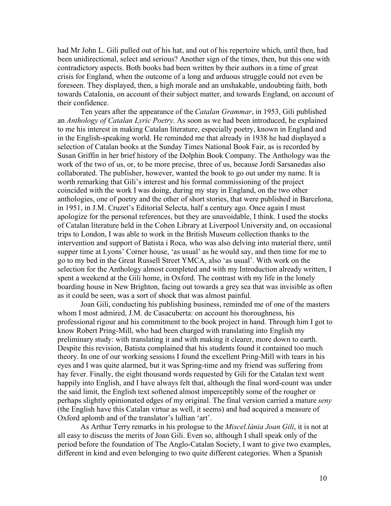had Mr John L. Gili pulled out of his hat, and out of his repertoire which, until then, had been unidirectional, select and serious? Another sign of the times, then, but this one with contradictory aspects. Both books had been written by their authors in a time of great crisis for England, when the outcome of a long and arduous struggle could not even be foreseen. They displayed, then, a high morale and an unshakable, undoubting faith, both towards Catalonia, on account of their subject matter, and towards England, on account of their confidence.

Ten years after the appearance of the *Catalan Grammar*, in 1953, Gili published an *Anthology of Catalan Lyric Poetry*. As soon as we had been introduced, he explained to me his interest in making Catalan literature, especially poetry, known in England and in the English-speaking world. He reminded me that already in 1938 he had displayed a selection of Catalan books at the Sunday Times National Book Fair, as is recorded by Susan Griffin in her brief history of the Dolphin Book Company. The Anthology was the work of the two of us, or, to be more precise, three of us, because Jordi Sarsanedas also collaborated. The publisher, however, wanted the book to go out under my name. It is worth remarking that Gili's interest and his formal commissioning of the project coincided with the work I was doing, during my stay in England, on the two other anthologies, one of poetry and the other of short stories, that were published in Barcelona, in 1951, in J.M. Cruzet's Editorial Selecta, half a century ago. Once again I must apologize for the personal references, but they are unavoidable, I think. I used the stocks of Catalan literature held in the Cohen Library at Liverpool University and, on occasional trips to London, I was able to work in the British Museum collection thanks to the intervention and support of Batista i Roca, who was also delving into material there, until supper time at Lyons' Corner house, 'as usual' as he would say, and then time for me to go to my bed in the Great Russell Street YMCA, also 'as usual'. With work on the selection for the Anthology almost completed and with my Introduction already written, I spent a weekend at the Gili home, in Oxford. The contrast with my life in the lonely boarding house in New Brighton, facing out towards a grey sea that was invisible as often as it could be seen, was a sort of shock that was almost painful.

Joan Gili, conducting his publishing business, reminded me of one of the masters whom I most admired, J.M. de Casacuberta: on account his thoroughness, his professional rigour and his commitment to the book project in hand. Through him I got to know Robert Pring-Mill, who had been charged with translating into English my preliminary study: with translating it and with making it clearer, more down to earth. Despite this revision, Batista complained that his students found it contained too much theory. In one of our working sessions I found the excellent Pring-Mill with tears in his eyes and I was quite alarmed, but it was Spring-time and my friend was suffering from hay fever. Finally, the eight thousand words requested by Gili for the Catalan text went happily into English, and I have always felt that, although the final word-count was under the said limit, the English text softened almost imperceptibly some of the rougher or perhaps slightly opinionated edges of my original. The final version carried a mature *seny* (the English have this Catalan virtue as well, it seems) and had acquired a measure of Oxford aplomb and of the translator's lullian 'art'.

As Arthur Terry remarks in his prologue to the *Miscel.lània Joan Gili*, it is not at all easy to discuss the merits of Joan Gili. Even so, although I shall speak only of the period before the foundation of The Anglo-Catalan Society, I want to give two examples, different in kind and even belonging to two quite different categories. When a Spanish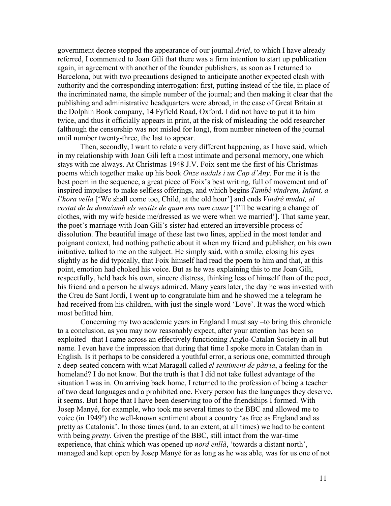government decree stopped the appearance of our journal *Ariel*, to which I have already referred, I commented to Joan Gili that there was a firm intention to start up publication again, in agreement with another of the founder publishers, as soon as I returned to Barcelona, but with two precautions designed to anticipate another expected clash with authority and the corresponding interrogation: first, putting instead of the tile, in place of the incriminated name, the simple number of the journal; and then making it clear that the publishing and administrative headquarters were abroad, in the case of Great Britain at the Dolphin Book company, 14 Fyfield Road, Oxford. I did not have to put it to him twice, and thus it officially appears in print, at the risk of misleading the odd researcher (although the censorship was not misled for long), from number nineteen of the journal until number twenty-three, the last to appear.

Then, secondly, I want to relate a very different happening, as I have said, which in my relationship with Joan Gili left a most intimate and personal memory, one which stays with me always. At Christmas 1948 J.V. Foix sent me the first of his Christmas poems which together make up his book *Onze nadals i un Cap d'Any*. For me it is the best poem in the sequence, a great piece of Foix's best writing, full of movement and of inspired impulses to make selfless offerings, and which begins *També vindrem, Infant, a l'hora vella* ['We shall come too, Child, at the old hour'] and ends *Vindré mudat, al costat de la dona/amb els vestits de quan ens vam casar* ['I'll be wearing a change of clothes, with my wife beside me/dressed as we were when we married']. That same year, the poet's marriage with Joan Gili's sister had entered an irreversible process of dissolution. The beautiful image of these last two lines, applied in the most tender and poignant context, had nothing pathetic about it when my friend and publisher, on his own initiative, talked to me on the subject. He simply said, with a smile, closing his eyes slightly as he did typically, that Foix himself had read the poem to him and that, at this point, emotion had choked his voice. But as he was explaining this to me Joan Gili, respectfully, held back his own, sincere distress, thinking less of himself than of the poet, his friend and a person he always admired. Many years later, the day he was invested with the Creu de Sant Jordi, I went up to congratulate him and he showed me a telegram he had received from his children, with just the single word 'Love'. It was the word which most befitted him.

Concerning my two academic years in England I must say –to bring this chronicle to a conclusion, as you may now reasonably expect, after your attention has been so exploited– that I came across an effectively functioning Anglo-Catalan Society in all but name. I even have the impression that during that time I spoke more in Catalan than in English. Is it perhaps to be considered a youthful error, a serious one, committed through a deep-seated concern with what Maragall called *el sentiment de pàtria*, a feeling for the homeland? I do not know. But the truth is that I did not take fullest advantage of the situation I was in. On arriving back home, I returned to the profession of being a teacher of two dead languages and a prohibited one. Every person has the languages they deserve, it seems. But I hope that I have been deserving too of the friendships I formed. With Josep Manyé, for example, who took me several times to the BBC and allowed me to voice (in 1949!) the well-known sentiment about a country 'as free as England and as pretty as Catalonia'. In those times (and, to an extent, at all times) we had to be content with being *pretty*. Given the prestige of the BBC, still intact from the war-time experience, that chink which was opened up *nord enllà*, 'towards a distant north', managed and kept open by Josep Manyé for as long as he was able, was for us one of not